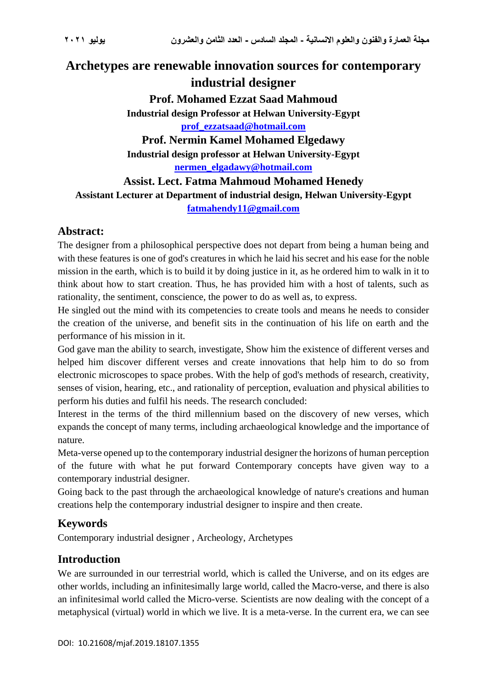# **Archetypes are renewable innovation sources for contemporary industrial designer Prof. Mohamed Ezzat Saad Mahmoud Industrial design Professor at Helwan University-Egypt [prof\\_ezzatsaad@hotmail.com](mailto:prof_ezzatsaad@hotmail.com) Prof. Nermin Kamel Mohamed Elgedawy Industrial design professor at Helwan University-Egypt [nermen\\_elgadawy@hotmail.com](mailto:nermen_elgadawy@hotmail.com) Assist. Lect. Fatma Mahmoud Mohamed Henedy Assistant Lecturer at Department of industrial design, Helwan University-Egypt**

**[fatmahendy11@gmail.com](mailto:fatmahendy11@gmail.com)**

# **Abstract:**

The designer from a philosophical perspective does not depart from being a human being and with these features is one of god's creatures in which he laid his secret and his ease for the noble mission in the earth, which is to build it by doing justice in it, as he ordered him to walk in it to think about how to start creation. Thus, he has provided him with a host of talents, such as rationality, the sentiment, conscience, the power to do as well as, to express.

He singled out the mind with its competencies to create tools and means he needs to consider the creation of the universe, and benefit sits in the continuation of his life on earth and the performance of his mission in it.

God gave man the ability to search, investigate, Show him the existence of different verses and helped him discover different verses and create innovations that help him to do so from electronic microscopes to space probes. With the help of god's methods of research, creativity, senses of vision, hearing, etc., and rationality of perception, evaluation and physical abilities to perform his duties and fulfil his needs. The research concluded:

Interest in the terms of the third millennium based on the discovery of new verses, which expands the concept of many terms, including archaeological knowledge and the importance of nature.

Meta-verse opened up to the contemporary industrial designer the horizons of human perception of the future with what he put forward Contemporary concepts have given way to a contemporary industrial designer.

Going back to the past through the archaeological knowledge of nature's creations and human creations help the contemporary industrial designer to inspire and then create.

# **Keywords**

Contemporary industrial designer , Archeology, Archetypes

# **Introduction**

We are surrounded in our terrestrial world, which is called the Universe, and on its edges are other worlds, including an infinitesimally large world, called the Macro-verse, and there is also an infinitesimal world called the Micro-verse. Scientists are now dealing with the concept of a metaphysical (virtual) world in which we live. It is a meta-verse. In the current era, we can see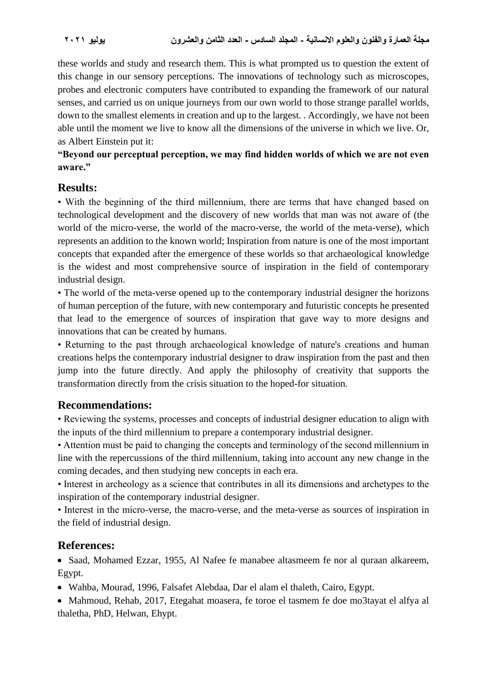these worlds and study and research them. This is what prompted us to question the extent of this change in our sensory perceptions. The innovations of technology such as microscopes, probes and electronic computers have contributed to expanding the framework of our natural senses, and carried us on unique journeys from our own world to those strange parallel worlds, down to the smallest elements in creation and up to the largest. . Accordingly, we have not been able until the moment we live to know all the dimensions of the universe in which we live. Or, as Albert Einstein put it:

#### **"Beyond our perceptual perception, we may find hidden worlds of which we are not even aware."**

# **Results:**

• With the beginning of the third millennium, there are terms that have changed based on technological development and the discovery of new worlds that man was not aware of (the world of the micro-verse, the world of the macro-verse, the world of the meta-verse), which represents an addition to the known world; Inspiration from nature is one of the most important concepts that expanded after the emergence of these worlds so that archaeological knowledge is the widest and most comprehensive source of inspiration in the field of contemporary industrial design.

• The world of the meta-verse opened up to the contemporary industrial designer the horizons of human perception of the future, with new contemporary and futuristic concepts he presented that lead to the emergence of sources of inspiration that gave way to more designs and innovations that can be created by humans.

• Returning to the past through archaeological knowledge of nature's creations and human creations helps the contemporary industrial designer to draw inspiration from the past and then jump into the future directly. And apply the philosophy of creativity that supports the transformation directly from the crisis situation to the hoped-for situation.

# **Recommendations:**

• Reviewing the systems, processes and concepts of industrial designer education to align with the inputs of the third millennium to prepare a contemporary industrial designer.

• Attention must be paid to changing the concepts and terminology of the second millennium in line with the repercussions of the third millennium, taking into account any new change in the coming decades, and then studying new concepts in each era.

• Interest in archeology as a science that contributes in all its dimensions and archetypes to the inspiration of the contemporary industrial designer.

• Interest in the micro-verse, the macro-verse, and the meta-verse as sources of inspiration in the field of industrial design.

# **References:**

• Saad, Mohamed Ezzar, 1955, Al Nafee fe manabee altasmeem fe nor al quraan alkareem, Egypt.

• Wahba, Mourad, 1996, Falsafet Alebdaa, Dar el alam el thaleth, Cairo, Egypt.

• Mahmoud, Rehab, 2017, Etegahat moasera, fe toroe el tasmem fe doe mo3tayat el alfya al thaletha, PhD, Helwan, Ehypt.